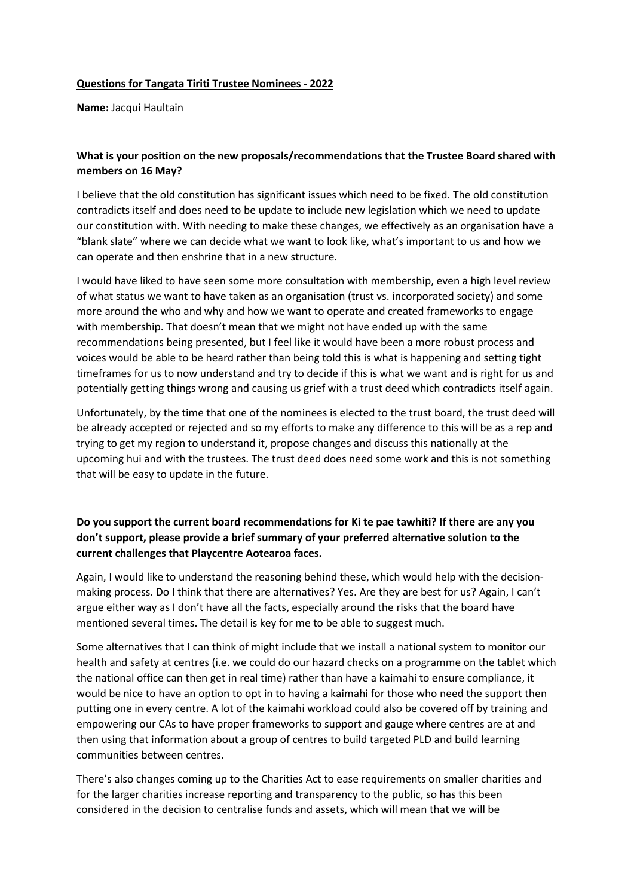## **Questions for Tangata Tiriti Trustee Nominees - 2022**

**Name:** Jacqui Haultain

## **What is your position on the new proposals/recommendations that the Trustee Board shared with members on 16 May?**

I believe that the old constitution has significant issues which need to be fixed. The old constitution contradicts itself and does need to be update to include new legislation which we need to update our constitution with. With needing to make these changes, we effectively as an organisation have a "blank slate" where we can decide what we want to look like, what's important to us and how we can operate and then enshrine that in a new structure.

I would have liked to have seen some more consultation with membership, even a high level review of what status we want to have taken as an organisation (trust vs. incorporated society) and some more around the who and why and how we want to operate and created frameworks to engage with membership. That doesn't mean that we might not have ended up with the same recommendations being presented, but I feel like it would have been a more robust process and voices would be able to be heard rather than being told this is what is happening and setting tight timeframes for us to now understand and try to decide if this is what we want and is right for us and potentially getting things wrong and causing us grief with a trust deed which contradicts itself again.

Unfortunately, by the time that one of the nominees is elected to the trust board, the trust deed will be already accepted or rejected and so my efforts to make any difference to this will be as a rep and trying to get my region to understand it, propose changes and discuss this nationally at the upcoming hui and with the trustees. The trust deed does need some work and this is not something that will be easy to update in the future.

## **Do you support the current board recommendations for Ki te pae tawhiti? If there are any you don't support, please provide a brief summary of your preferred alternative solution to the current challenges that Playcentre Aotearoa faces.**

Again, I would like to understand the reasoning behind these, which would help with the decisionmaking process. Do I think that there are alternatives? Yes. Are they are best for us? Again, I can't argue either way as I don't have all the facts, especially around the risks that the board have mentioned several times. The detail is key for me to be able to suggest much.

Some alternatives that I can think of might include that we install a national system to monitor our health and safety at centres (i.e. we could do our hazard checks on a programme on the tablet which the national office can then get in real time) rather than have a kaimahi to ensure compliance, it would be nice to have an option to opt in to having a kaimahi for those who need the support then putting one in every centre. A lot of the kaimahi workload could also be covered off by training and empowering our CAs to have proper frameworks to support and gauge where centres are at and then using that information about a group of centres to build targeted PLD and build learning communities between centres.

There's also changes coming up to the Charities Act to ease requirements on smaller charities and for the larger charities increase reporting and transparency to the public, so has this been considered in the decision to centralise funds and assets, which will mean that we will be